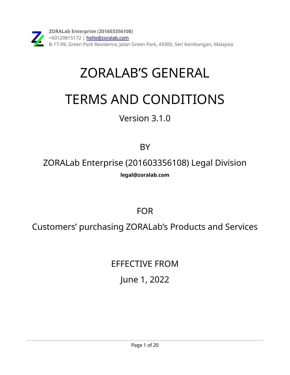## ZORALAB'S GENERAL

# TERMS AND CONDITIONS

### Version 3.1.0

### **BY**

ZORALab Enterprise (201603356108) Legal Division **[legal@zoralab.com](mailto:legal@zoralab.com)**

FOR

Customers' purchasing ZORALab's Products and Services

EFFECTIVE FROM June 1, 2022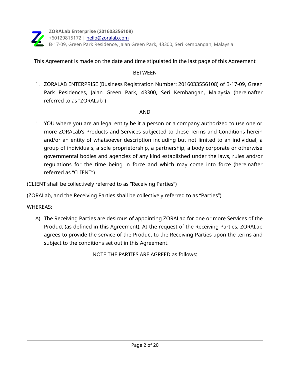

This Agreement is made on the date and time stipulated in the last page of this Agreement

#### **BETWEEN**

1. ZORALAB ENTERPRISE (Business Registration Number: 2016033556108) of B-17-09, Green Park Residences, Jalan Green Park, 43300, Seri Kembangan, Malaysia (hereinafter referred to as "ZORALab")

#### AND

1. YOU where you are an legal entity be it a person or a company authorized to use one or more ZORALab's Products and Services subjected to these Terms and Conditions herein and/or an entity of whatsoever description including but not limited to an individual, a group of individuals, a sole proprietorship, a partnership, a body corporate or otherwise governmental bodies and agencies of any kind established under the laws, rules and/or regulations for the time being in force and which may come into force (hereinafter referred as "CLIENT")

(CLIENT shall be collectively referred to as "Receiving Parties")

(ZORALab, and the Receiving Parties shall be collectively referred to as "Parties")

#### WHEREAS:

A) The Receiving Parties are desirous of appointing ZORALab for one or more Services of the Product (as defined in this Agreement). At the request of the Receiving Parties, ZORALab agrees to provide the service of the Product to the Receiving Parties upon the terms and subject to the conditions set out in this Agreement.

NOTE THE PARTIES ARE AGREED as follows: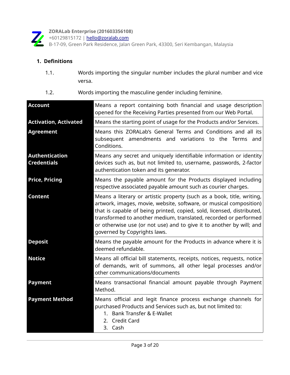

+60129815172 | [hello@zoralab.com](mailto:hello@zoralab.com)

B-17-09, Green Park Residence, Jalan Green Park, 43300, Seri Kembangan, Malaysia

#### **1. Definitions**

- 1.1. Words importing the singular number includes the plural number and vice versa.
- 1.2. Words importing the masculine gender including feminine.

| <b>Account</b>                              | Means a report containing both financial and usage description<br>opened for the Receiving Parties presented from our Web Portal.                                                                                                                                                                                                                                                                  |
|---------------------------------------------|----------------------------------------------------------------------------------------------------------------------------------------------------------------------------------------------------------------------------------------------------------------------------------------------------------------------------------------------------------------------------------------------------|
| <b>Activation, Activated</b>                | Means the starting point of usage for the Products and/or Services.                                                                                                                                                                                                                                                                                                                                |
| <b>Agreement</b>                            | Means this ZORALab's General Terms and Conditions and all its<br>subsequent amendments and variations to the Terms and<br>Conditions.                                                                                                                                                                                                                                                              |
| <b>Authentication</b><br><b>Credentials</b> | Means any secret and uniquely identifiable information or identity<br>devices such as, but not limited to, username, passwords, 2-factor<br>authentication token and its generator.                                                                                                                                                                                                                |
| <b>Price, Pricing</b>                       | Means the payable amount for the Products displayed including<br>respective associated payable amount such as courier charges.                                                                                                                                                                                                                                                                     |
| <b>Content</b>                              | Means a literary or artistic property (such as a book, title, writing,<br>artwork, images, movie, website, software, or musical composition)<br>that is capable of being printed, copied, sold, licensed, distributed,<br>transformed to another medium, translated, recorded or performed<br>or otherwise use (or not use) and to give it to another by will; and<br>governed by Copyrights laws. |
| <b>Deposit</b>                              | Means the payable amount for the Products in advance where it is<br>deemed refundable.                                                                                                                                                                                                                                                                                                             |
| <b>Notice</b>                               | Means all official bill statements, receipts, notices, requests, notice<br>of demands, writ of summons, all other legal processes and/or<br>other communications/documents                                                                                                                                                                                                                         |
| <b>Payment</b>                              | Means transactional financial amount payable through Payment<br>Method.                                                                                                                                                                                                                                                                                                                            |
| <b>Payment Method</b>                       | Means official and legit finance process exchange channels for<br>purchased Products and Services such as, but not limited to:<br>1. Bank Transfer & E-Wallet<br>2. Credit Card<br>3. Cash                                                                                                                                                                                                         |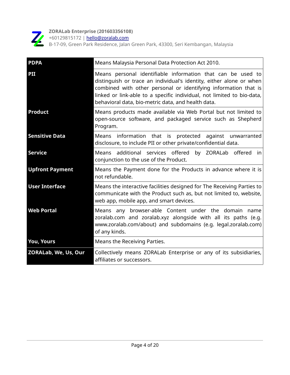

+60129815172 | [hello@zoralab.com](mailto:hello@zoralab.com)

| <b>PDPA</b>                 | Means Malaysia Personal Data Protection Act 2010.                                                                                                                                                                                                                                                                                     |
|-----------------------------|---------------------------------------------------------------------------------------------------------------------------------------------------------------------------------------------------------------------------------------------------------------------------------------------------------------------------------------|
| PII                         | Means personal identifiable information that can be used to<br>distinguish or trace an individual's identity, either alone or when<br>combined with other personal or identifying information that is<br>linked or link-able to a specific individual, not limited to bio-data,<br>behavioral data, bio-metric data, and health data. |
| <b>Product</b>              | Means products made available via Web Portal but not limited to<br>open-source software, and packaged service such as Shepherd<br>Program.                                                                                                                                                                                            |
| <b>Sensitive Data</b>       | against unwarranted<br>Means information that is protected<br>disclosure, to include PII or other private/confidential data.                                                                                                                                                                                                          |
| <b>Service</b>              | Means additional services offered<br>by ZORALab offered<br>in<br>conjunction to the use of the Product.                                                                                                                                                                                                                               |
| <b>Upfront Payment</b>      | Means the Payment done for the Products in advance where it is<br>not refundable.                                                                                                                                                                                                                                                     |
| <b>User Interface</b>       | Means the interactive facilities designed for The Receiving Parties to<br>communicate with the Product such as, but not limited to, website,<br>web app, mobile app, and smart devices.                                                                                                                                               |
| <b>Web Portal</b>           | Means any browser-able Content under the domain name<br>zoralab.com and zoralab.xyz alongside with all its paths (e.g.<br>www.zoralab.com/about) and subdomains (e.g. legal.zoralab.com)<br>of any kinds.                                                                                                                             |
| <b>You, Yours</b>           | Means the Receiving Parties.                                                                                                                                                                                                                                                                                                          |
| <b>ZORALab, We, Us, Our</b> | Collectively means ZORALab Enterprise or any of its subsidiaries,<br>affiliates or successors.                                                                                                                                                                                                                                        |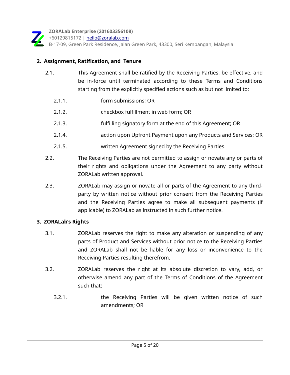

#### **2. Assignment, Ratification, and Tenure**

- 2.1. This Agreement shall be ratified by the Receiving Parties, be effective, and be in-force until terminated according to these Terms and Conditions starting from the explicitly specified actions such as but not limited to:
	- 2.1.1. form submissions; OR
	- 2.1.2. checkbox fulfillment in web form; OR
	- 2.1.3. fulfilling signatory form at the end of this Agreement; OR
	- 2.1.4. action upon Upfront Payment upon any Products and Services; OR
	- 2.1.5. written Agreement signed by the Receiving Parties.
- 2.2. The Receiving Parties are not permitted to assign or novate any or parts of their rights and obligations under the Agreement to any party without ZORALab written approval.
- 2.3. **ZORALab may assign or novate all or parts of the Agreement to any third**party by written notice without prior consent from the Receiving Parties and the Receiving Parties agree to make all subsequent payments (if applicable) to ZORALab as instructed in such further notice.

#### **3. ZORALab's Rights**

- 3.1. ZORALab reserves the right to make any alteration or suspending of any parts of Product and Services without prior notice to the Receiving Parties and ZORALab shall not be liable for any loss or inconvenience to the Receiving Parties resulting therefrom.
- 3.2. ZORALab reserves the right at its absolute discretion to vary, add, or otherwise amend any part of the Terms of Conditions of the Agreement such that:
	- 3.2.1. the Receiving Parties will be given written notice of such amendments; OR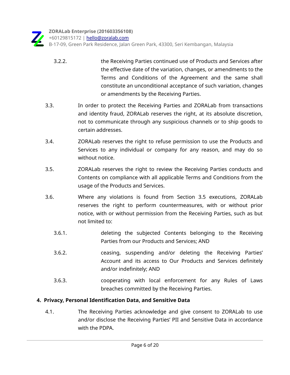B-17-09, Green Park Residence, Jalan Green Park, 43300, Seri Kembangan, Malaysia

- 3.2.2. the Receiving Parties continued use of Products and Services after the effective date of the variation, changes, or amendments to the Terms and Conditions of the Agreement and the same shall constitute an unconditional acceptance of such variation, changes or amendments by the Receiving Parties.
- 3.3. In order to protect the Receiving Parties and ZORALab from transactions and identity fraud, ZORALab reserves the right, at its absolute discretion, not to communicate through any suspicious channels or to ship goods to certain addresses.
- 3.4. ZORALab reserves the right to refuse permission to use the Products and Services to any individual or company for any reason, and may do so without notice.
- 3.5. ZORALab reserves the right to review the Receiving Parties conducts and Contents on compliance with all applicable Terms and Conditions from the usage of the Products and Services.
- 3.6. Where any violations is found from Section 3.5 executions, ZORALab reserves the right to perform countermeasures, with or without prior notice, with or without permission from the Receiving Parties, such as but not limited to:
	- 3.6.1. deleting the subjected Contents belonging to the Receiving Parties from our Products and Services; AND
	- 3.6.2. ceasing, suspending and/or deleting the Receiving Parties' Account and its access to Our Products and Services definitely and/or indefinitely; AND
	- 3.6.3. cooperating with local enforcement for any Rules of Laws breaches committed by the Receiving Parties.

#### **4. Privacy, Personal Identification Data, and Sensitive Data**

 4.1. The Receiving Parties acknowledge and give consent to ZORALab to use and/or disclose the Receiving Parties' PII and Sensitive Data in accordance with the PDPA.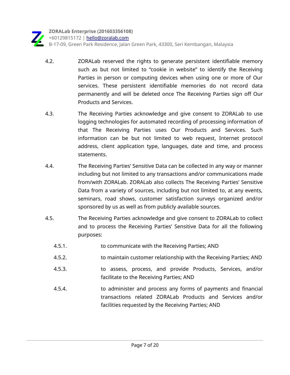

**ZORALab Enterprise (201603356108)** +60129815172 | [hello@zoralab.com](mailto:hello@zoralab.com) B-17-09, Green Park Residence, Jalan Green Park, 43300, Seri Kembangan, Malaysia

- 4.2. ZORALab reserved the rights to generate persistent identifiable memory such as but not limited to "cookie in website" to identify the Receiving Parties in person or computing devices when using one or more of Our services. These persistent identifiable memories do not record data permanently and will be deleted once The Receiving Parties sign off Our Products and Services.
- 4.3. The Receiving Parties acknowledge and give consent to ZORALab to use logging technologies for automated recording of processing information of that The Receiving Parties uses Our Products and Services. Such information can be but not limited to web request, Internet protocol address, client application type, languages, date and time, and process statements.
- 4.4. The Receiving Parties' Sensitive Data can be collected in any way or manner including but not limited to any transactions and/or communications made from/with ZORALab. ZORALab also collects The Receiving Parties' Sensitive Data from a variety of sources, including but not limited to, at any events, seminars, road shows, customer satisfaction surveys organized and/or sponsored by us as well as from publicly available sources.
- 4.5. The Receiving Parties acknowledge and give consent to ZORALab to collect and to process the Receiving Parties' Sensitive Data for all the following purposes:
	- 4.5.1. to communicate with the Receiving Parties; AND
	- 4.5.2. to maintain customer relationship with the Receiving Parties; AND
	- 4.5.3. to assess, process, and provide Products, Services, and/or facilitate to the Receiving Parties; AND
	- 4.5.4. to administer and process any forms of payments and financial transactions related ZORALab Products and Services and/or facilities requested by the Receiving Parties; AND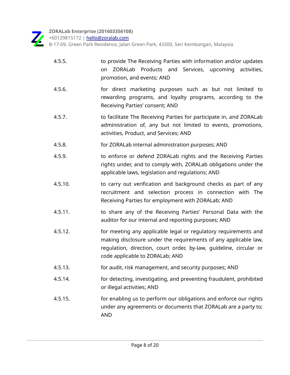+60129815172 | [hello@zoralab.com](mailto:hello@zoralab.com)

| 4.5.5.  | to provide The Receiving Parties with information and/or updates<br>ZORALab Products and Services, upcoming activities,<br>on<br>promotion, and events; AND                                                                                 |
|---------|---------------------------------------------------------------------------------------------------------------------------------------------------------------------------------------------------------------------------------------------|
| 4.5.6.  | for direct marketing purposes such as but not limited to<br>rewarding programs, and loyalty programs, according to the<br>Receiving Parties' consent; AND                                                                                   |
| 4.5.7.  | to facilitate The Receiving Parties for participate in, and ZORALab<br>administration of, any but not limited to events, promotions,<br>activities, Product, and Services; AND                                                              |
| 4.5.8.  | for ZORALab internal administration purposes; AND                                                                                                                                                                                           |
| 4.5.9.  | to enforce or defend ZORALab rights and the Receiving Parties<br>rights under, and to comply with, ZORALab obligations under the<br>applicable laws, legislation and regulations; AND                                                       |
| 4.5.10. | to carry out verification and background checks as part of any<br>recruitment and selection process in connection with The<br>Receiving Parties for employment with ZORALab; AND                                                            |
| 4.5.11. | to share any of the Receiving Parties' Personal Data with the<br>auditor for our internal and reporting purposes; AND                                                                                                                       |
| 4.5.12. | for meeting any applicable legal or regulatory requirements and<br>making disclosure under the requirements of any applicable law,<br>requlation, direction, court order, by-law, quideline, circular or<br>code applicable to ZORALab; AND |
| 4.5.13. | for audit, risk management, and security purposes; AND                                                                                                                                                                                      |
| 4.5.14. | for detecting, investigating, and preventing fraudulent, prohibited<br>or illegal activities; AND                                                                                                                                           |
| 4.5.15. | for enabling us to perform our obligations and enforce our rights<br>under any agreements or documents that ZORALab are a party to;<br><b>AND</b>                                                                                           |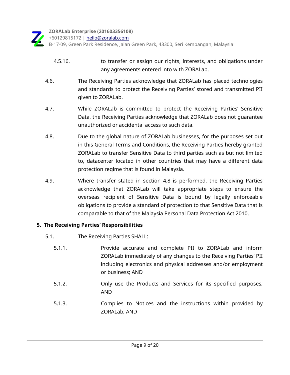+60129815172 | [hello@zoralab.com](mailto:hello@zoralab.com)

B-17-09, Green Park Residence, Jalan Green Park, 43300, Seri Kembangan, Malaysia

- 4.5.16. to transfer or assign our rights, interests, and obligations under any agreements entered into with ZORALab.
- 4.6. The Receiving Parties acknowledge that ZORALab has placed technologies and standards to protect the Receiving Parties' stored and transmitted PII given to ZORALab.
- 4.7. While ZORALab is committed to protect the Receiving Parties' Sensitive Data, the Receiving Parties acknowledge that ZORALab does not guarantee unauthorized or accidental access to such data.
- 4.8. Due to the global nature of ZORALab businesses, for the purposes set out in this General Terms and Conditions, the Receiving Parties hereby granted ZORALab to transfer Sensitive Data to third parties such as but not limited to, datacenter located in other countries that may have a different data protection regime that is found in Malaysia.
- 4.9. Where transfer stated in section 4.8 is performed, the Receiving Parties acknowledge that ZORALab will take appropriate steps to ensure the overseas recipient of Sensitive Data is bound by legally enforceable obligations to provide a standard of protection to that Sensitive Data that is comparable to that of the Malaysia Personal Data Protection Act 2010.

#### **5. The Receiving Parties' Responsibilities**

- 5.1. The Receiving Parties SHALL:
	- 5.1.1. Provide accurate and complete PII to ZORALab and inform ZORALab immediately of any changes to the Receiving Parties' PII including electronics and physical addresses and/or employment or business; AND
	- 5.1.2. Only use the Products and Services for its specified purposes; AND
	- 5.1.3. Complies to Notices and the instructions within provided by ZORALab; AND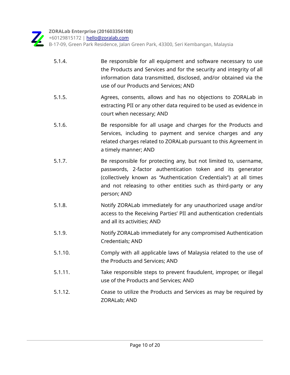

+60129815172 | [hello@zoralab.com](mailto:hello@zoralab.com)

| 5.1.4.  | Be responsible for all equipment and software necessary to use<br>the Products and Services and for the security and integrity of all<br>information data transmitted, disclosed, and/or obtained via the<br>use of our Products and Services; AND                                   |
|---------|--------------------------------------------------------------------------------------------------------------------------------------------------------------------------------------------------------------------------------------------------------------------------------------|
| 5.1.5.  | Agrees, consents, allows and has no objections to ZORALab in<br>extracting PII or any other data required to be used as evidence in<br>court when necessary; AND                                                                                                                     |
| 5.1.6.  | Be responsible for all usage and charges for the Products and<br>Services, including to payment and service charges and any<br>related charges related to ZORALab pursuant to this Agreement in<br>a timely manner; AND                                                              |
| 5.1.7.  | Be responsible for protecting any, but not limited to, username,<br>passwords, 2-factor authentication token and its generator<br>(collectively known as "Authentication Credentials") at all times<br>and not releasing to other entities such as third-party or any<br>person; AND |
| 5.1.8.  | Notify ZORALab immediately for any unauthorized usage and/or<br>access to the Receiving Parties' PII and authentication credentials<br>and all its activities; AND                                                                                                                   |
| 5.1.9.  | Notify ZORALab immediately for any compromised Authentication<br>Credentials; AND                                                                                                                                                                                                    |
| 5.1.10. | Comply with all applicable laws of Malaysia related to the use of<br>the Products and Services; AND                                                                                                                                                                                  |
| 5.1.11. | Take responsible steps to prevent fraudulent, improper, or illegal<br>use of the Products and Services; AND                                                                                                                                                                          |
| 5.1.12. | Cease to utilize the Products and Services as may be required by<br><b>ZORALab; AND</b>                                                                                                                                                                                              |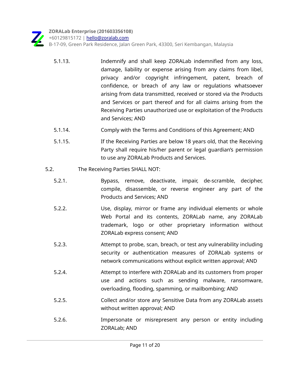

+60129815172 | [hello@zoralab.com](mailto:hello@zoralab.com)

- 5.1.13. Indemnify and shall keep ZORALab indemnified from any loss, damage, liability or expense arising from any claims from libel, privacy and/or copyright infringement, patent, breach of confidence, or breach of any law or regulations whatsoever arising from data transmitted, received or stored via the Products and Services or part thereof and for all claims arising from the Receiving Parties unauthorized use or exploitation of the Products and Services; AND
- 5.1.14. Comply with the Terms and Conditions of this Agreement; AND
- 5.1.15. If the Receiving Parties are below 18 years old, that the Receiving Party shall require his/her parent or legal guardian's permission to use any ZORALab Products and Services.
- 5.2. The Receiving Parties SHALL NOT:
	- 5.2.1. Bypass, remove, deactivate, impair, de-scramble, decipher, compile, disassemble, or reverse engineer any part of the Products and Services; AND
	- 5.2.2. Use, display, mirror or frame any individual elements or whole Web Portal and its contents, ZORALab name, any ZORALab trademark, logo or other proprietary information without ZORALab express consent; AND
	- 5.2.3. Attempt to probe, scan, breach, or test any vulnerability including security or authentication measures of ZORALab systems or network communications without explicit written approval; AND
	- 5.2.4. Attempt to interfere with ZORALab and its customers from proper use and actions such as sending malware, ransomware, overloading, flooding, spamming, or mailbombing; AND
	- 5.2.5. Collect and/or store any Sensitive Data from any ZORALab assets without written approval; AND
	- 5.2.6. Impersonate or misrepresent any person or entity including ZORALab; AND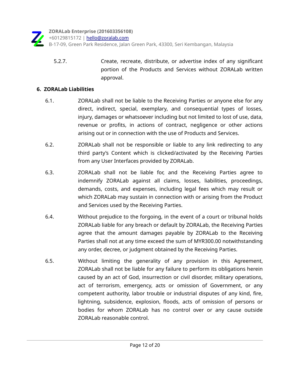**ZORALab Enterprise (201603356108)** +60129815172 | [hello@zoralab.com](mailto:hello@zoralab.com)

B-17-09, Green Park Residence, Jalan Green Park, 43300, Seri Kembangan, Malaysia

 5.2.7. Create, recreate, distribute, or advertise index of any significant portion of the Products and Services without ZORALab written approval.

#### **6. ZORALab Liabilities**

- 6.1. ZORALab shall not be liable to the Receiving Parties or anyone else for any direct, indirect, special, exemplary, and consequential types of losses, injury, damages or whatsoever including but not limited to lost of use, data, revenue or profits, in actions of contract, negligence or other actions arising out or in connection with the use of Products and Services.
- 6.2. ZORALab shall not be responsible or liable to any link redirecting to any third party's Content which is clicked/activated by the Receiving Parties from any User Interfaces provided by ZORALab.
- 6.3. ZORALab shall not be liable for, and the Receiving Parties agree to indemnify ZORALab against all claims, losses, liabilities, proceedings, demands, costs, and expenses, including legal fees which may result or which ZORALab may sustain in connection with or arising from the Product and Services used by the Receiving Parties.
- 6.4. Without prejudice to the forgoing, in the event of a court or tribunal holds ZORALab liable for any breach or default by ZORALab, the Receiving Parties agree that the amount damages payable by ZORALab to the Receiving Parties shall not at any time exceed the sum of MYR300.00 notwithstanding any order, decree, or judgment obtained by the Receiving Parties.
- 6.5. Without limiting the generality of any provision in this Agreement, ZORALab shall not be liable for any failure to perform its obligations herein caused by an act of God, insurrection or civil disorder, military operations, act of terrorism, emergency, acts or omission of Government, or any competent authority, labor trouble or industrial disputes of any kind, fire, lightning, subsidence, explosion, floods, acts of omission of persons or bodies for whom ZORALab has no control over or any cause outside ZORALab reasonable control.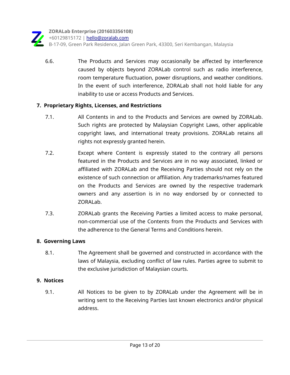**ZORALab Enterprise (201603356108)** +60129815172 | [hello@zoralab.com](mailto:hello@zoralab.com) B-17-09, Green Park Residence, Jalan Green Park, 43300, Seri Kembangan, Malaysia

 6.6. The Products and Services may occasionally be affected by interference caused by objects beyond ZORALab control such as radio interference, room temperature fluctuation, power disruptions, and weather conditions. In the event of such interference, ZORALab shall not hold liable for any inability to use or access Products and Services.

#### **7. Proprietary Rights, Licenses, and Restrictions**

- 7.1. All Contents in and to the Products and Services are owned by ZORALab. Such rights are protected by Malaysian Copyright Laws, other applicable copyright laws, and international treaty provisions. ZORALab retains all rights not expressly granted herein.
- 7.2. Except where Content is expressly stated to the contrary all persons featured in the Products and Services are in no way associated, linked or affiliated with ZORALab and the Receiving Parties should not rely on the existence of such connection or affiliation. Any trademarks/names featured on the Products and Services are owned by the respective trademark owners and any assertion is in no way endorsed by or connected to ZORALab.
- 7.3. ZORALab grants the Receiving Parties a limited access to make personal, non-commercial use of the Contents from the Products and Services with the adherence to the General Terms and Conditions herein.

#### **8. Governing Laws**

 8.1. The Agreement shall be governed and constructed in accordance with the laws of Malaysia, excluding conflict of law rules. Parties agree to submit to the exclusive jurisdiction of Malaysian courts.

#### **9. Notices**

 9.1. All Notices to be given to by ZORALab under the Agreement will be in writing sent to the Receiving Parties last known electronics and/or physical address.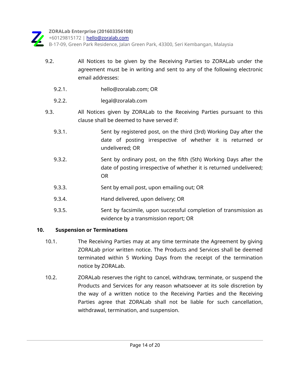

+60129815172 | [hello@zoralab.com](mailto:hello@zoralab.com)

B-17-09, Green Park Residence, Jalan Green Park, 43300, Seri Kembangan, Malaysia

- 9.2. All Notices to be given by the Receiving Parties to ZORALab under the agreement must be in writing and sent to any of the following electronic email addresses:
	- 9.2.1. hello@zoralab.com; OR
	- 9.2.2. legal@zoralab.com
- 9.3. All Notices given by ZORALab to the Receiving Parties pursuant to this clause shall be deemed to have served if:
	- 9.3.1. Sent by registered post, on the third (3rd) Working Day after the date of posting irrespective of whether it is returned or undelivered; OR
	- 9.3.2. Sent by ordinary post, on the fifth (5th) Working Days after the date of posting irrespective of whether it is returned undelivered; OR
	- 9.3.3. Sent by email post, upon emailing out; OR
	- 9.3.4. Hand delivered, upon delivery; OR
	- 9.3.5. Sent by facsimile, upon successful completion of transmission as evidence by a transmission report; OR

#### **10. Suspension or Terminations**

- 10.1. The Receiving Parties may at any time terminate the Agreement by giving ZORALab prior written notice. The Products and Services shall be deemed terminated within 5 Working Days from the receipt of the termination notice by ZORALab.
- 10.2. ZORALab reserves the right to cancel, withdraw, terminate, or suspend the Products and Services for any reason whatsoever at its sole discretion by the way of a written notice to the Receiving Parties and the Receiving Parties agree that ZORALab shall not be liable for such cancellation, withdrawal, termination, and suspension.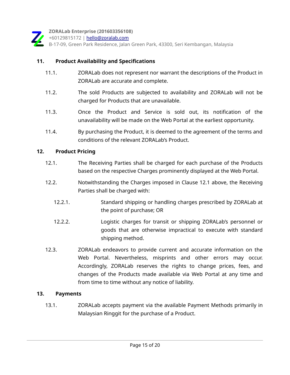

+60129815172 | [hello@zoralab.com](mailto:hello@zoralab.com)

B-17-09, Green Park Residence, Jalan Green Park, 43300, Seri Kembangan, Malaysia

#### **11. Product Availability and Specifications**

- 11.1. ZORALab does not represent nor warrant the descriptions of the Product in ZORALab are accurate and complete.
- 11.2. The sold Products are subjected to availability and ZORALab will not be charged for Products that are unavailable.
- 11.3. Once the Product and Service is sold out, its notification of the unavailability will be made on the Web Portal at the earliest opportunity.
- 11.4. By purchasing the Product, it is deemed to the agreement of the terms and conditions of the relevant ZORALab's Product.

#### **12. Product Pricing**

- 12.1. The Receiving Parties shall be charged for each purchase of the Products based on the respective Charges prominently displayed at the Web Portal.
- 12.2. Notwithstanding the Charges imposed in Clause 12.1 above, the Receiving Parties shall be charged with:
	- 12.2.1. Standard shipping or handling charges prescribed by ZORALab at the point of purchase; OR
	- 12.2.2. Logistic charges for transit or shipping ZORALab's personnel or goods that are otherwise impractical to execute with standard shipping method.
- 12.3. ZORALab endeavors to provide current and accurate information on the Web Portal. Nevertheless, misprints and other errors may occur. Accordingly, ZORALab reserves the rights to change prices, fees, and changes of the Products made available via Web Portal at any time and from time to time without any notice of liability.

#### **13. Payments**

 13.1. ZORALab accepts payment via the available Payment Methods primarily in Malaysian Ringgit for the purchase of a Product.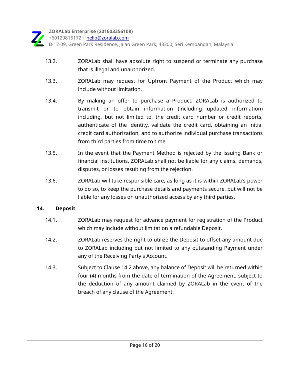+60129815172 | [hello@zoralab.com](mailto:hello@zoralab.com)

B-17-09, Green Park Residence, Jalan Green Park, 43300, Seri Kembangan, Malaysia

- 13.2. ZORALab shall have absolute right to suspend or terminate any purchase that is illegal and unauthorized.
- 13.3. ZORALab may request for Upfront Payment of the Product which may include without limitation.
- 13.4. By making an offer to purchase a Product, ZORALab is authorized to transmit or to obtain information (including updated information) including, but not limited to, the credit card number or credit reports, authenticate of the identity, validate the credit card, obtaining an initial credit card authorization, and to authorize individual purchase transactions from third parties from time to time.
- 13.5. In the event that the Payment Method is rejected by the issuing Bank or financial institutions, ZORALab shall not be liable for any claims, demands, disputes, or losses resulting from the rejection.
- 13.6. ZORALab will take responsible care, as long as it is within ZORALab's power to do so, to keep the purchase details and payments secure, but will not be liable for any losses on unauthorized access by any third parties.

#### **14. Deposit**

- 14.1. ZORALab may request for advance payment for registration of the Product which may include without limitation a refundable Deposit.
- 14.2. ZORALab reserves the right to utilize the Deposit to offset any amount due to ZORALab including but not limited to any outstanding Payment under any of the Receiving Party's Account.
- 14.3. Subject to Clause 14.2 above, any balance of Deposit will be returned within four (4) months from the date of termination of the Agreement, subject to the deduction of any amount claimed by ZORALab in the event of the breach of any clause of the Agreement.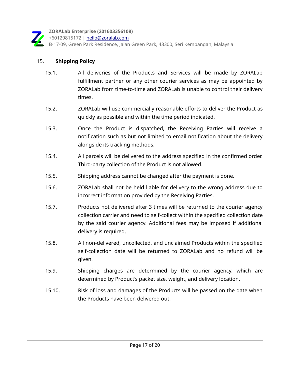

+60129815172 | [hello@zoralab.com](mailto:hello@zoralab.com)

B-17-09, Green Park Residence, Jalan Green Park, 43300, Seri Kembangan, Malaysia

#### 15. **Shipping Policy**

- 15.1. All deliveries of the Products and Services will be made by ZORALab fulfillment partner or any other courier services as may be appointed by ZORALab from time-to-time and ZORALab is unable to control their delivery times.
- 15.2. ZORALab will use commercially reasonable efforts to deliver the Product as quickly as possible and within the time period indicated.
- 15.3. Once the Product is dispatched, the Receiving Parties will receive a notification such as but not limited to email notification about the delivery alongside its tracking methods.
- 15.4. All parcels will be delivered to the address specified in the confirmed order. Third-party collection of the Product is not allowed.
- 15.5. Shipping address cannot be changed after the payment is done.
- 15.6. ZORALab shall not be held liable for delivery to the wrong address due to incorrect information provided by the Receiving Parties.
- 15.7. Products not delivered after 3 times will be returned to the courier agency collection carrier and need to self-collect within the specified collection date by the said courier agency. Additional fees may be imposed if additional delivery is required.
- 15.8. All non-delivered, uncollected, and unclaimed Products within the specified self-collection date will be returned to ZORALab and no refund will be given.
- 15.9. Shipping charges are determined by the courier agency, which are determined by Product's packet size, weight, and delivery location.
- 15.10. Risk of loss and damages of the Products will be passed on the date when the Products have been delivered out.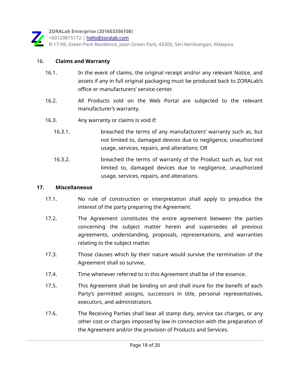

+60129815172 | [hello@zoralab.com](mailto:hello@zoralab.com)

B-17-09, Green Park Residence, Jalan Green Park, 43300, Seri Kembangan, Malaysia

#### 16. **Claims and Warranty**

- 16.1. In the event of claims, the original receipt and/or any relevant Notice, and assets if any in full original packaging must be produced back to ZORALab's office or manufacturers' service center.
- 16.2. All Products sold on the Web Portal are subjected to the relevant manufacturer's warranty.
- 16.3. Any warranty or claims is void if:
	- 16.3.1. breached the terms of any manufacturers' warranty such as, but not limited to, damaged devices due to negligence, unauthorized usage, services, repairs, and alterations; OR
	- 16.3.2. breached the terms of warranty of the Product such as, but not limited to, damaged devices due to negligence, unauthorized usage, services, repairs, and alterations.

#### **17. Miscellaneous**

- 17.1. No rule of construction or interpretation shall apply to prejudice the interest of the party preparing the Agreement.
- 17.2. The Agreement constitutes the entire agreement between the parties concerning the subject matter herein and supersedes all previous agreements, understanding, proposals, representations, and warranties relating to the subject matter.
- 17.3. Those clauses which by their nature would survive the termination of the Agreement shall so survive.
- 17.4. Time whenever referred to in this Agreement shall be of the essence.
- 17.5. This Agreement shall be binding on and shall inure for the benefit of each Party's permitted assigns, successors in title, personal representatives, executors, and administrators.
- 17.6. The Receiving Parties shall bear all stamp duty, service tax charges, or any other cost or charges imposed by law in connection with the preparation of the Agreement and/or the provision of Products and Services.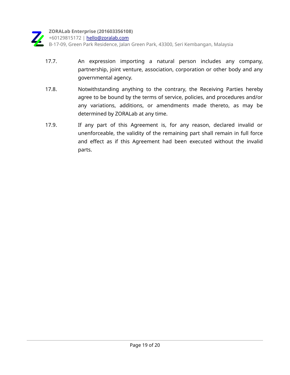

+60129815172 | [hello@zoralab.com](mailto:hello@zoralab.com)

- 17.7. An expression importing a natural person includes any company, partnership, joint venture, association, corporation or other body and any governmental agency.
- 17.8. Notwithstanding anything to the contrary, the Receiving Parties hereby agree to be bound by the terms of service, policies, and procedures and/or any variations, additions, or amendments made thereto, as may be determined by ZORALab at any time.
- 17.9. If any part of this Agreement is, for any reason, declared invalid or unenforceable, the validity of the remaining part shall remain in full force and effect as if this Agreement had been executed without the invalid parts.